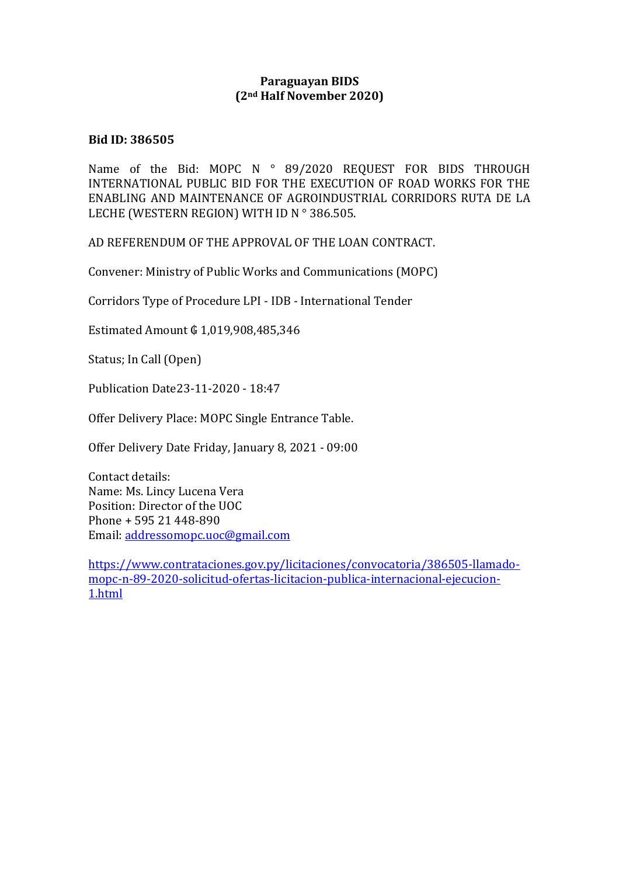## **Paraguayan BIDS (2nd Half November 2020)**

## **Bid ID: 386505**

Name of the Bid: MOPC N ° 89/2020 REQUEST FOR BIDS THROUGH INTERNATIONAL PUBLIC BID FOR THE EXECUTION OF ROAD WORKS FOR THE ENABLING AND MAINTENANCE OF AGROINDUSTRIAL CORRIDORS RUTA DE LA LECHE (WESTERN REGION) WITH ID N°386.505.

AD REFERENDUM OF THE APPROVAL OF THE LOAN CONTRACT.

Convener: Ministry of Public Works and Communications (MOPC)

Corridors Type of Procedure LPI - IDB - International Tender

Estimated Amount ₲ 1,019,908,485,346

Status; In Call (Open)

Publication Date23-11-2020 - 18:47

Offer Delivery Place: MOPC Single Entrance Table.

Offer Delivery Date Friday, January 8, 2021 - 09:00

Contact details: Name: Ms. Lincy Lucena Vera Position: Director of the UOC Phone + 595 21 448-890 Email: [addressomopc.uoc@gmail.com](mailto:addressomopc.uoc@gmail.com)

[https://www.contrataciones.gov.py/licitaciones/convocatoria/386505-llamado](https://www.contrataciones.gov.py/licitaciones/convocatoria/386505-llamado-mopc-n-89-2020-solicitud-ofertas-licitacion-publica-internacional-ejecucion-1.html)[mopc-n-89-2020-solicitud-ofertas-licitacion-publica-internacional-ejecucion-](https://www.contrataciones.gov.py/licitaciones/convocatoria/386505-llamado-mopc-n-89-2020-solicitud-ofertas-licitacion-publica-internacional-ejecucion-1.html)[1.html](https://www.contrataciones.gov.py/licitaciones/convocatoria/386505-llamado-mopc-n-89-2020-solicitud-ofertas-licitacion-publica-internacional-ejecucion-1.html)